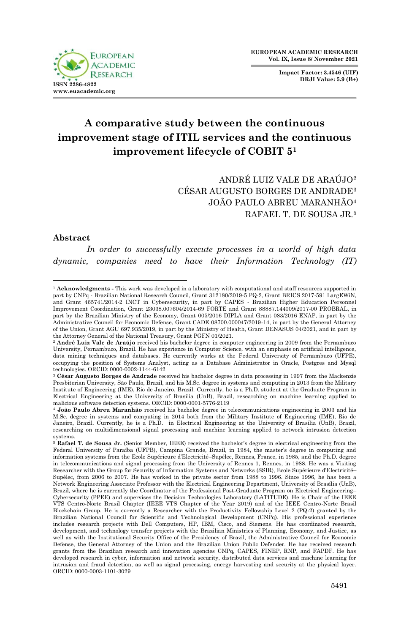

**Impact Factor: 3.4546 (UIF) DRJI Value: 5.9 (B+)**

# **A comparative study between the continuous improvement stage of ITIL services and the continuous improvement lifecycle of COBIT 5<sup>1</sup>**

ANDRÉ LUIZ VALE DE ARAÚJO<sup>2</sup> CÉSAR AUGUSTO BORGES DE ANDRADE<sup>3</sup> JOÃO PAULO ABREU MARANHÃO<sup>4</sup> RAFAEL T. DE SOUSA JR.<sup>5</sup>

#### **Abstract**

*In order to successfully execute processes in a world of high data dynamic, companies need to have their Information Technology (IT)* 

 <sup>1</sup> **Acknowledgments -** This work was developed in a laboratory with computational and staff resources supported in part by CNPq - Brazilian National Research Council, Grant 312180/2019-5 PQ-2, Grant BRICS 2017-591 LargEWiN, and Grant 465741/2014-2 INCT in Cybersecurity, in part by CAPES - Brazilian Higher Education Personnel Improvement Coordination, Grant 23038.007604/2014-69 FORTE and Grant 88887.144009/2017-00 PROBRAL, in part by the Brazilian Ministry of the Economy, Grant 005/2016 DIPLA and Grant 083/2016 ENAP, in part by the Administrative Council for Economic Defense, Grant CADE 08700.000047/2019-14, in part by the General Attorney of the Union, Grant AGU 697.935/2019, in part by the Ministry of Health, Grant DENASUS 04/2021, and in part by the Attorney General of the National Treasury, Grant PGFN 01/2021.

<sup>2</sup> **André Luiz Vale de Araújo** received his bachelor degree in computer engineering in 2009 from the Pernambuco University, Pernambuco, Brazil. He has experience in Computer Science, with an emphasis on artificial intelligence, data mining techniques and databases. He currently works at the Federal University of Pernambuco (UFPE), occupying the position of Systems Analyst, acting as a Database Administrator in Oracle, Postgres and Mysql technologies. ORCID: 0000-0002-1144-6142

<sup>3</sup> **César Augusto Borges de Andrade** received his bachelor degree in data processing in 1997 from the Mackenzie Presbiterian University, São Paulo, Brazil, and his M.Sc. degree in systems and computing in 2013 from the Military Institute of Engineering (IME), Rio de Janeiro, Brazil. Currently, he is a Ph.D. student at the Graduate Program in Electrical Engineering at the University of Brasilia (UnB), Brazil, researching on machine learning applied to malicious software detection systems. ORCID: 0000-0001-5776-2119

<sup>4</sup> **João Paulo Abreu Maranhão** received his bachelor degree in telecommunications engineering in 2003 and his M.Sc. degree in systems and computing in 2014 both from the Military Institute of Engineering (IME), Rio de Janeiro, Brazil. Currently, he is a Ph.D. in Electrical Engineering at the University of Brasilia (UnB), Brazil, researching on multidimensional signal processing and machine learning applied to network intrusion detection systems.

<sup>&</sup>lt;sup>5</sup> Rafael T. de Sousa Jr. (Senior Member, IEEE) received the bachelor's degree in electrical engineering from the Federal University of Paraíba (UFPB), Campina Grande, Brazil, in 1984, the master's degree in computing and information systems from the Ecole Supérieure d'Electricité–Supélec, Rennes, France, in 1985, and the Ph.D. degree in telecommunications and signal processing from the University of Rennes 1, Rennes, in 1988. He was a Visiting Researcher with the Group for Security of Information Systems and Networks (SSIR), Ecole Supérieure d'Electricité– Supélec, from 2006 to 2007. He has worked in the private sector from 1988 to 1996. Since 1996, he has been a Network Engineering Associate Professor with the Electrical Engineering Department, University of Brasília (UnB), Brazil, where he is currently the Coordinator of the Professional Post-Graduate Program on Electrical Engineering– Cybersecurity (PPEE) and supervises the Decision Technologies Laboratory (LATITUDE). He is Chair of the IEEE VTS Centro-Norte Brasil Chapter (IEEE VTS Chapter of the Year 2019) and of the IEEE Centro-Norte Brasil Blockchain Group. He is currently a Researcher with the Productivity Fellowship Level 2 (PQ-2) granted by the Brazilian National Council for Scientific and Technological Development (CNPq). His professional experience includes research projects with Dell Computers, HP, IBM, Cisco, and Siemens. He has coordinated research, development, and technology transfer projects with the Brazilian Ministries of Planning, Economy, and Justice, as well as with the Institutional Security Office of the Presidency of Brazil, the Administrative Council for Economic Defense, the General Attorney of the Union and the Brazilian Union Public Defender. He has received research grants from the Brazilian research and innovation agencies CNPq, CAPES, FINEP, RNP, and FAPDF. He has developed research in cyber, information and network security, distributed data services and machine learning for intrusion and fraud detection, as well as signal processing, energy harvesting and security at the physical layer. ORCID: 0000-0003-1101-3029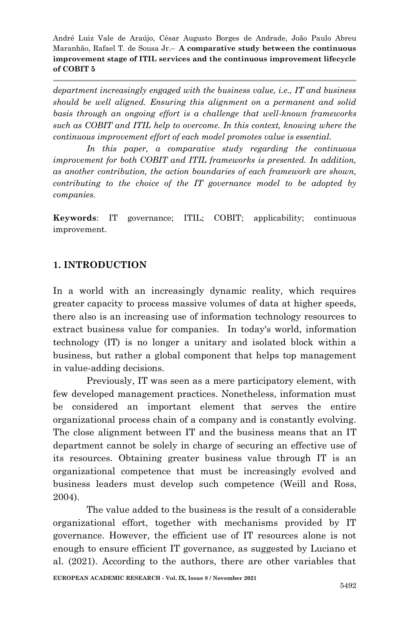*department increasingly engaged with the business value, i.e., IT and business should be well aligned. Ensuring this alignment on a permanent and solid basis through an ongoing effort is a challenge that well-known frameworks such as COBIT and ITIL help to overcome. In this context, knowing where the continuous improvement effort of each model promotes value is essential.* 

*In this paper, a comparative study regarding the continuous improvement for both COBIT and ITIL frameworks is presented. In addition, as another contribution, the action boundaries of each framework are shown, contributing to the choice of the IT governance model to be adopted by companies.*

**Keywords**: IT governance; ITIL; COBIT; applicability; continuous improvement.

## **1. INTRODUCTION**

In a world with an increasingly dynamic reality, which requires greater capacity to process massive volumes of data at higher speeds, there also is an increasing use of information technology resources to extract business value for companies. In today's world, information technology (IT) is no longer a unitary and isolated block within a business, but rather a global component that helps top management in value-adding decisions.

Previously, IT was seen as a mere participatory element, with few developed management practices. Nonetheless, information must be considered an important element that serves the entire organizational process chain of a company and is constantly evolving. The close alignment between IT and the business means that an IT department cannot be solely in charge of securing an effective use of its resources. Obtaining greater business value through IT is an organizational competence that must be increasingly evolved and business leaders must develop such competence (Weill and Ross, 2004).

The value added to the business is the result of a considerable organizational effort, together with mechanisms provided by IT governance. However, the efficient use of IT resources alone is not enough to ensure efficient IT governance, as suggested by Luciano et al. (2021). According to the authors, there are other variables that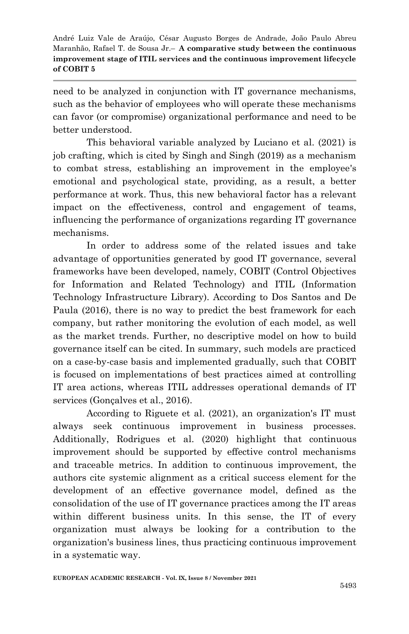need to be analyzed in conjunction with IT governance mechanisms, such as the behavior of employees who will operate these mechanisms can favor (or compromise) organizational performance and need to be better understood.

This behavioral variable analyzed by Luciano et al. (2021) is job crafting, which is cited by Singh and Singh (2019) as a mechanism to combat stress, establishing an improvement in the employee's emotional and psychological state, providing, as a result, a better performance at work. Thus, this new behavioral factor has a relevant impact on the effectiveness, control and engagement of teams, influencing the performance of organizations regarding IT governance mechanisms.

In order to address some of the related issues and take advantage of opportunities generated by good IT governance, several frameworks have been developed, namely, COBIT (Control Objectives for Information and Related Technology) and ITIL (Information Technology Infrastructure Library). According to Dos Santos and De Paula (2016), there is no way to predict the best framework for each company, but rather monitoring the evolution of each model, as well as the market trends. Further, no descriptive model on how to build governance itself can be cited. In summary, such models are practiced on a case-by-case basis and implemented gradually, such that COBIT is focused on implementations of best practices aimed at controlling IT area actions, whereas ITIL addresses operational demands of IT services (Gonçalves et al., 2016).

According to Riguete et al. (2021), an organization's IT must always seek continuous improvement in business processes. Additionally, Rodrigues et al. (2020) highlight that continuous improvement should be supported by effective control mechanisms and traceable metrics. In addition to continuous improvement, the authors cite systemic alignment as a critical success element for the development of an effective governance model, defined as the consolidation of the use of IT governance practices among the IT areas within different business units. In this sense, the IT of every organization must always be looking for a contribution to the organization's business lines, thus practicing continuous improvement in a systematic way.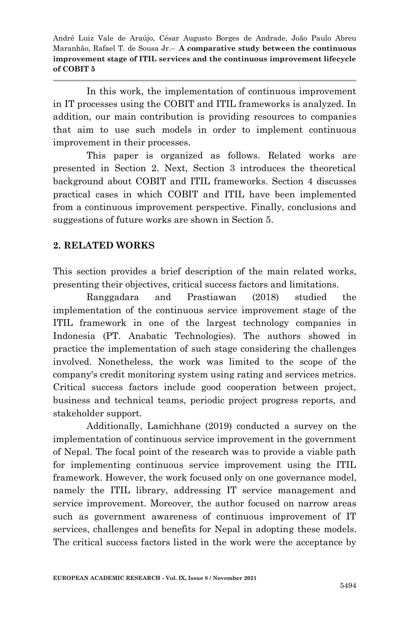In this work, the implementation of continuous improvement in IT processes using the COBIT and ITIL frameworks is analyzed. In addition, our main contribution is providing resources to companies that aim to use such models in order to implement continuous improvement in their processes.

This paper is organized as follows. Related works are presented in Section 2. Next, Section 3 introduces the theoretical background about COBIT and ITIL frameworks. Section 4 discusses practical cases in which COBIT and ITIL have been implemented from a continuous improvement perspective. Finally, conclusions and suggestions of future works are shown in Section 5.

### **2. RELATED WORKS**

This section provides a brief description of the main related works, presenting their objectives, critical success factors and limitations.

Ranggadara and Prastiawan (2018) studied the implementation of the continuous service improvement stage of the ITIL framework in one of the largest technology companies in Indonesia (PT. Anabatic Technologies). The authors showed in practice the implementation of such stage considering the challenges involved. Nonetheless, the work was limited to the scope of the company's credit monitoring system using rating and services metrics. Critical success factors include good cooperation between project, business and technical teams, periodic project progress reports, and stakeholder support.

Additionally, Lamichhane (2019) conducted a survey on the implementation of continuous service improvement in the government of Nepal. The focal point of the research was to provide a viable path for implementing continuous service improvement using the ITIL framework. However, the work focused only on one governance model, namely the ITIL library, addressing IT service management and service improvement. Moreover, the author focused on narrow areas such as government awareness of continuous improvement of IT services, challenges and benefits for Nepal in adopting these models. The critical success factors listed in the work were the acceptance by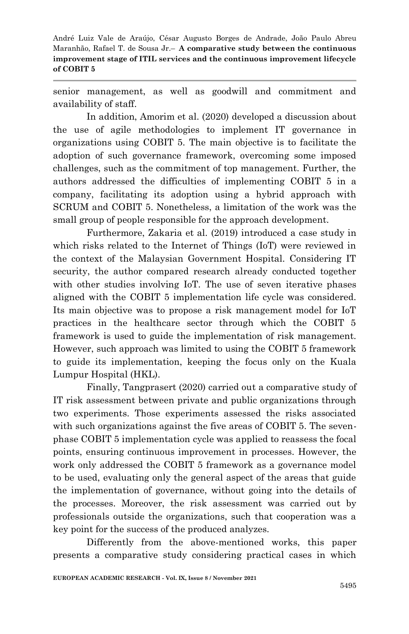senior management, as well as goodwill and commitment and availability of staff.

In addition, Amorim et al. (2020) developed a discussion about the use of agile methodologies to implement IT governance in organizations using COBIT 5. The main objective is to facilitate the adoption of such governance framework, overcoming some imposed challenges, such as the commitment of top management. Further, the authors addressed the difficulties of implementing COBIT 5 in a company, facilitating its adoption using a hybrid approach with SCRUM and COBIT 5. Nonetheless, a limitation of the work was the small group of people responsible for the approach development.

Furthermore, Zakaria et al. (2019) introduced a case study in which risks related to the Internet of Things (IoT) were reviewed in the context of the Malaysian Government Hospital. Considering IT security, the author compared research already conducted together with other studies involving IoT. The use of seven iterative phases aligned with the COBIT 5 implementation life cycle was considered. Its main objective was to propose a risk management model for IoT practices in the healthcare sector through which the COBIT 5 framework is used to guide the implementation of risk management. However, such approach was limited to using the COBIT 5 framework to guide its implementation, keeping the focus only on the Kuala Lumpur Hospital (HKL).

Finally, Tangprasert (2020) carried out a comparative study of IT risk assessment between private and public organizations through two experiments. Those experiments assessed the risks associated with such organizations against the five areas of COBIT 5. The sevenphase COBIT 5 implementation cycle was applied to reassess the focal points, ensuring continuous improvement in processes. However, the work only addressed the COBIT 5 framework as a governance model to be used, evaluating only the general aspect of the areas that guide the implementation of governance, without going into the details of the processes. Moreover, the risk assessment was carried out by professionals outside the organizations, such that cooperation was a key point for the success of the produced analyzes.

Differently from the above-mentioned works, this paper presents a comparative study considering practical cases in which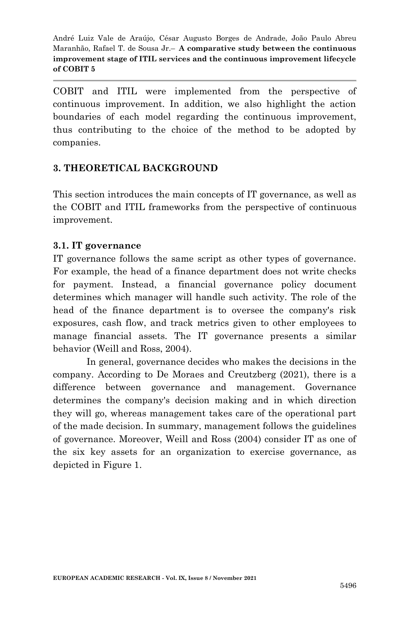COBIT and ITIL were implemented from the perspective of continuous improvement. In addition, we also highlight the action boundaries of each model regarding the continuous improvement, thus contributing to the choice of the method to be adopted by companies.

### **3. THEORETICAL BACKGROUND**

This section introduces the main concepts of IT governance, as well as the COBIT and ITIL frameworks from the perspective of continuous improvement.

### **3.1. IT governance**

IT governance follows the same script as other types of governance. For example, the head of a finance department does not write checks for payment. Instead, a financial governance policy document determines which manager will handle such activity. The role of the head of the finance department is to oversee the company's risk exposures, cash flow, and track metrics given to other employees to manage financial assets. The IT governance presents a similar behavior (Weill and Ross, 2004).

In general, governance decides who makes the decisions in the company. According to De Moraes and Creutzberg (2021), there is a difference between governance and management. Governance determines the company's decision making and in which direction they will go, whereas management takes care of the operational part of the made decision. In summary, management follows the guidelines of governance. Moreover, Weill and Ross (2004) consider IT as one of the six key assets for an organization to exercise governance, as depicted in Figure 1.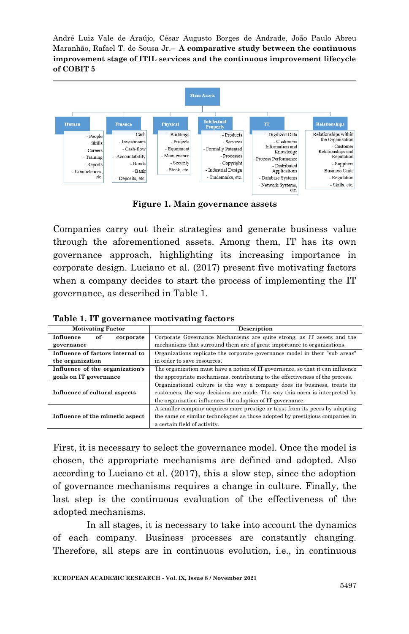

**Figure 1. Main governance assets**

Companies carry out their strategies and generate business value through the aforementioned assets. Among them, IT has its own governance approach, highlighting its increasing importance in corporate design. Luciano et al. (2017) present five motivating factors when a company decides to start the process of implementing the IT governance, as described in Table 1.

| <b>Motivating Factor</b>         | Description                                                                    |  |
|----------------------------------|--------------------------------------------------------------------------------|--|
| Influence<br>of<br>corporate     | Corporate Governance Mechanisms are quite strong, as IT assets and the         |  |
| governance                       | mechanisms that surround them are of great importance to organizations.        |  |
| Influence of factors internal to | Organizations replicate the corporate governance model in their "sub areas"    |  |
| the organization                 | in order to save resources.                                                    |  |
| Influence of the organization's  | The organization must have a notion of IT governance, so that it can influence |  |
| goals on IT governance           | the appropriate mechanisms, contributing to the effectiveness of the process.  |  |
|                                  | Organizational culture is the way a company does its business, treats its      |  |
| Influence of cultural aspects    | customers, the way decisions are made. The way this norm is interpreted by     |  |
|                                  | the organization influences the adoption of IT governance.                     |  |
|                                  | A smaller company acquires more prestige or trust from its peers by adopting   |  |
| Influence of the mimetic aspect  | the same or similar technologies as those adopted by prestigious companies in  |  |
|                                  | a certain field of activity.                                                   |  |

**Table 1. IT governance motivating factors**

First, it is necessary to select the governance model. Once the model is chosen, the appropriate mechanisms are defined and adopted. Also according to Luciano et al. (2017), this a slow step, since the adoption of governance mechanisms requires a change in culture. Finally, the last step is the continuous evaluation of the effectiveness of the adopted mechanisms.

In all stages, it is necessary to take into account the dynamics of each company. Business processes are constantly changing. Therefore, all steps are in continuous evolution, i.e., in continuous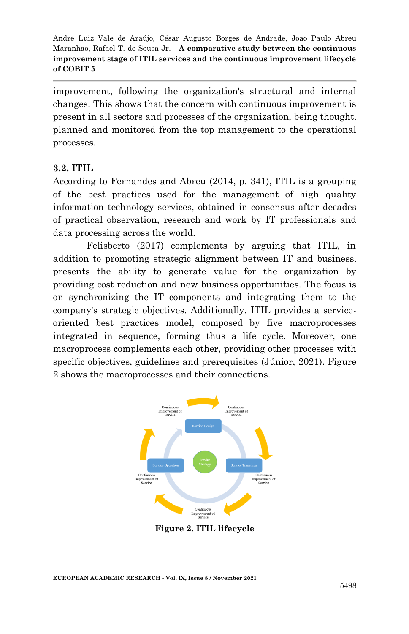improvement, following the organization's structural and internal changes. This shows that the concern with continuous improvement is present in all sectors and processes of the organization, being thought, planned and monitored from the top management to the operational processes.

#### **3.2. ITIL**

According to Fernandes and Abreu (2014, p. 341), ITIL is a grouping of the best practices used for the management of high quality information technology services, obtained in consensus after decades of practical observation, research and work by IT professionals and data processing across the world.

Felisberto (2017) complements by arguing that ITIL, in addition to promoting strategic alignment between IT and business, presents the ability to generate value for the organization by providing cost reduction and new business opportunities. The focus is on synchronizing the IT components and integrating them to the company's strategic objectives. Additionally, ITIL provides a serviceoriented best practices model, composed by five macroprocesses integrated in sequence, forming thus a life cycle. Moreover, one macroprocess complements each other, providing other processes with specific objectives, guidelines and prerequisites (Júnior, 2021). Figure 2 shows the macroprocesses and their connections.



**Figure 2. ITIL lifecycle**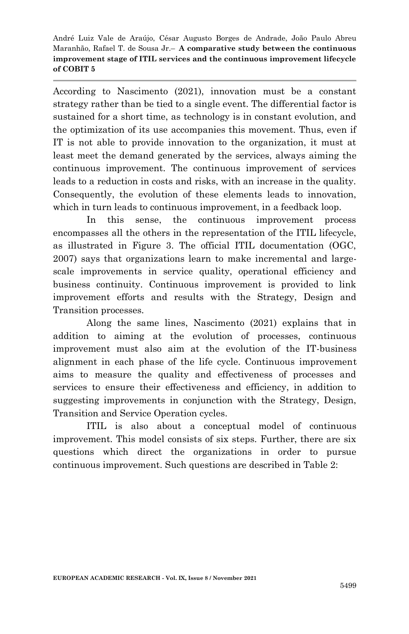According to Nascimento (2021), innovation must be a constant strategy rather than be tied to a single event. The differential factor is sustained for a short time, as technology is in constant evolution, and the optimization of its use accompanies this movement. Thus, even if IT is not able to provide innovation to the organization, it must at least meet the demand generated by the services, always aiming the continuous improvement. The continuous improvement of services leads to a reduction in costs and risks, with an increase in the quality. Consequently, the evolution of these elements leads to innovation, which in turn leads to continuous improvement, in a feedback loop.

In this sense, the continuous improvement process encompasses all the others in the representation of the ITIL lifecycle, as illustrated in Figure 3. The official ITIL documentation (OGC, 2007) says that organizations learn to make incremental and largescale improvements in service quality, operational efficiency and business continuity. Continuous improvement is provided to link improvement efforts and results with the Strategy, Design and Transition processes.

Along the same lines, Nascimento (2021) explains that in addition to aiming at the evolution of processes, continuous improvement must also aim at the evolution of the IT-business alignment in each phase of the life cycle. Continuous improvement aims to measure the quality and effectiveness of processes and services to ensure their effectiveness and efficiency, in addition to suggesting improvements in conjunction with the Strategy, Design, Transition and Service Operation cycles.

ITIL is also about a conceptual model of continuous improvement. This model consists of six steps. Further, there are six questions which direct the organizations in order to pursue continuous improvement. Such questions are described in Table 2: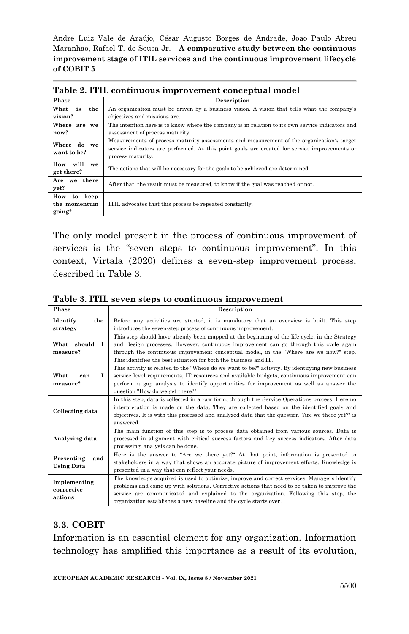| Table 2. ITIL continuous improvement conceptual model |                                                                                                                                                                                                                 |  |  |
|-------------------------------------------------------|-----------------------------------------------------------------------------------------------------------------------------------------------------------------------------------------------------------------|--|--|
| Phase                                                 | Description                                                                                                                                                                                                     |  |  |
| is<br>What<br>the                                     | An organization must be driven by a business vision. A vision that tells what the company's                                                                                                                     |  |  |
| vision?                                               | objectives and missions are.                                                                                                                                                                                    |  |  |
| Where are we<br>now?                                  | The intention here is to know where the company is in relation to its own service indicators and<br>assessment of process maturity.                                                                             |  |  |
| Where do we<br>want to be?                            | Measurements of process maturity assessments and measurement of the organization's target<br>service indicators are performed. At this point goals are created for service improvements or<br>process maturity. |  |  |
| will<br>How<br>we<br>get there?                       | The actions that will be necessary for the goals to be achieved are determined.                                                                                                                                 |  |  |
| Are we there<br>yet?                                  | After that, the result must be measured, to know if the goal was reached or not.                                                                                                                                |  |  |
| How<br>keep<br>to<br>the momentum<br>going?           | ITIL advocates that this process be repeated constantly.                                                                                                                                                        |  |  |

The only model present in the process of continuous improvement of services is the "seven steps to continuous improvement". In this context, Virtala (2020) defines a seven-step improvement process, described in Table 3.

| Phase                                  | Description                                                                                                                                                                                                                                                                                                                                               |  |  |  |
|----------------------------------------|-----------------------------------------------------------------------------------------------------------------------------------------------------------------------------------------------------------------------------------------------------------------------------------------------------------------------------------------------------------|--|--|--|
| Identify<br>the                        | Before any activities are started, it is mandatory that an overview is built. This step                                                                                                                                                                                                                                                                   |  |  |  |
| strategy                               | introduces the seven-step process of continuous improvement.                                                                                                                                                                                                                                                                                              |  |  |  |
| What should<br>- 1<br>measure?         | This step should have already been mapped at the beginning of the life cycle, in the Strategy<br>and Design processes. However, continuous improvement can go through this cycle again<br>through the continuous improvement conceptual model, in the "Where are we now?" step.<br>This identifies the best situation for both the business and IT.       |  |  |  |
| What<br>т<br>can<br>measure?           | This activity is related to the "Where do we want to be?" activity. By identifying new business<br>service level requirements, IT resources and available budgets, continuous improvement can<br>perform a gap analysis to identify opportunities for improvement as well as answer the<br>question "How do we get there?"                                |  |  |  |
| Collecting data                        | In this step, data is collected in a raw form, through the Service Operations process. Here no<br>interpretation is made on the data. They are collected based on the identified goals and<br>objectives. It is with this processed and analyzed data that the question "Are we there yet?" is<br>answered.                                               |  |  |  |
| Analyzing data                         | The main function of this step is to process data obtained from various sources. Data is<br>processed in alignment with critical success factors and key success indicators. After data<br>processing, analysis can be done.                                                                                                                              |  |  |  |
| Presenting<br>and<br><b>Using Data</b> | Here is the answer to "Are we there yet?" At that point, information is presented to<br>stakeholders in a way that shows an accurate picture of improvement efforts. Knowledge is<br>presented in a way that can reflect your needs.                                                                                                                      |  |  |  |
| Implementing<br>corrective<br>actions  | The knowledge acquired is used to optimize, improve and correct services. Managers identify<br>problems and come up with solutions. Corrective actions that need to be taken to improve the<br>service are communicated and explained to the organization. Following this step, the<br>organization establishes a new baseline and the cycle starts over. |  |  |  |

**Table 3. ITIL seven steps to continuous improvement**

## **3.3. COBIT**

Information is an essential element for any organization. Information technology has amplified this importance as a result of its evolution,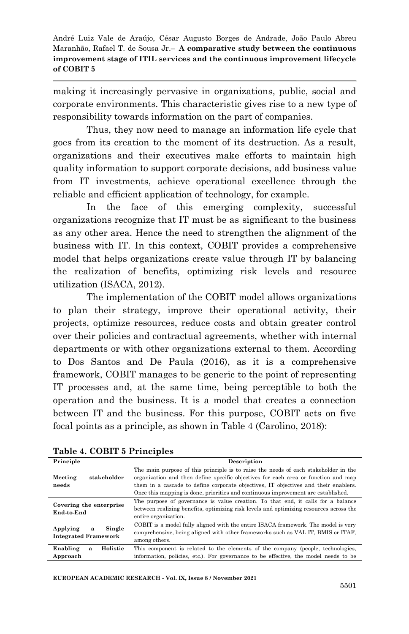making it increasingly pervasive in organizations, public, social and corporate environments. This characteristic gives rise to a new type of responsibility towards information on the part of companies.

Thus, they now need to manage an information life cycle that goes from its creation to the moment of its destruction. As a result, organizations and their executives make efforts to maintain high quality information to support corporate decisions, add business value from IT investments, achieve operational excellence through the reliable and efficient application of technology, for example.

In the face of this emerging complexity, successful organizations recognize that IT must be as significant to the business as any other area. Hence the need to strengthen the alignment of the business with IT. In this context, COBIT provides a comprehensive model that helps organizations create value through IT by balancing the realization of benefits, optimizing risk levels and resource utilization (ISACA, 2012).

The implementation of the COBIT model allows organizations to plan their strategy, improve their operational activity, their projects, optimize resources, reduce costs and obtain greater control over their policies and contractual agreements, whether with internal departments or with other organizations external to them. According to Dos Santos and De Paula (2016), as it is a comprehensive framework, COBIT manages to be generic to the point of representing IT processes and, at the same time, being perceptible to both the operation and the business. It is a model that creates a connection between IT and the business. For this purpose, COBIT acts on five focal points as a principle, as shown in Table 4 (Carolino, 2018):

| Principle                                              | <b>Description</b>                                                                                                                                                                                                                                                                                                                                    |  |  |
|--------------------------------------------------------|-------------------------------------------------------------------------------------------------------------------------------------------------------------------------------------------------------------------------------------------------------------------------------------------------------------------------------------------------------|--|--|
| stakeholder<br>Meeting<br>needs                        | The main purpose of this principle is to raise the needs of each stakeholder in the<br>organization and then define specific objectives for each area or function and map<br>them in a cascade to define corporate objectives. IT objectives and their enablers.<br>Once this mapping is done, priorities and continuous improvement are established. |  |  |
| Covering the enterprise<br>End-to-End                  | The purpose of governance is value creation. To that end, it calls for a balance<br>between realizing benefits, optimizing risk levels and optimizing resources across the<br>entire organization.                                                                                                                                                    |  |  |
| Single<br>Applying<br>a<br><b>Integrated Framework</b> | COBIT is a model fully aligned with the entire ISACA framework. The model is very<br>comprehensive, being aligned with other frameworks such as VAL IT. BMIS or ITAF.<br>among others.                                                                                                                                                                |  |  |
| Holistic<br>Enabling<br>a<br>Approach                  | This component is related to the elements of the company (people, technologies,<br>information, policies, etc.). For governance to be effective, the model needs to be                                                                                                                                                                                |  |  |

**Table 4. COBIT 5 Principles**

**EUROPEAN ACADEMIC RESEARCH - Vol. IX, Issue 8 / November 2021**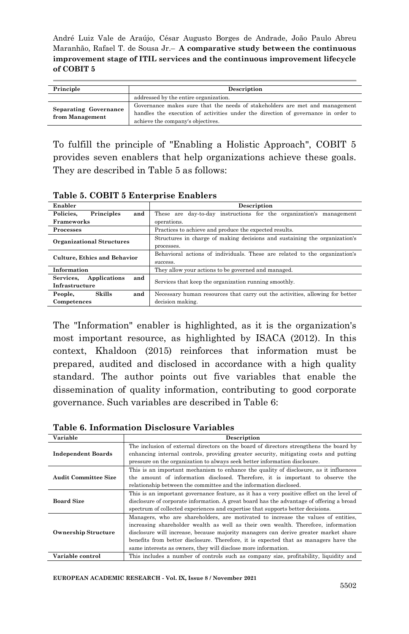| Principle                                       | Description                                                                                                                                                                                           |  |  |
|-------------------------------------------------|-------------------------------------------------------------------------------------------------------------------------------------------------------------------------------------------------------|--|--|
|                                                 | addressed by the entire organization.                                                                                                                                                                 |  |  |
| <b>Separating Governance</b><br>from Management | Governance makes sure that the needs of stakeholders are met and management<br>handles the execution of activities under the direction of governance in order to<br>achieve the company's objectives. |  |  |

To fulfill the principle of "Enabling a Holistic Approach", COBIT 5 provides seven enablers that help organizations achieve these goals. They are described in Table 5 as follows:

| Table 9. CODIT 9 Enterprise Entable 13 |                                                                              |  |  |
|----------------------------------------|------------------------------------------------------------------------------|--|--|
| Enabler                                | Description                                                                  |  |  |
| Policies.<br>Principles<br>and         | These are day-to-day instructions for the organization's management          |  |  |
| <b>Frameworks</b>                      | operations.                                                                  |  |  |
| Processes                              | Practices to achieve and produce the expected results.                       |  |  |
| <b>Organizational Structures</b>       | Structures in charge of making decisions and sustaining the organization's   |  |  |
|                                        | processes.                                                                   |  |  |
| <b>Culture, Ethics and Behavior</b>    | Behavioral actions of individuals. These are related to the organization's   |  |  |
|                                        | success.                                                                     |  |  |
| Information                            | They allow your actions to be governed and managed.                          |  |  |
| Applications<br>and<br>Services.       | Services that keep the organization running smoothly.                        |  |  |
| Infrastructure                         |                                                                              |  |  |
| and<br>Skills<br>People,               | Necessary human resources that carry out the activities, allowing for better |  |  |
| Competences                            | decision making.                                                             |  |  |

**Table 5. COBIT 5 Enterprise Enablers**

The "Information" enabler is highlighted, as it is the organization's most important resource, as highlighted by ISACA (2012). In this context, Khaldoon (2015) reinforces that information must be prepared, audited and disclosed in accordance with a high quality standard. The author points out five variables that enable the dissemination of quality information, contributing to good corporate governance. Such variables are described in Table 6:

**Table 6. Information Disclosure Variables**

| Variable                    | Description                                                                               |  |  |
|-----------------------------|-------------------------------------------------------------------------------------------|--|--|
|                             | The inclusion of external directors on the board of directors strengthens the board by    |  |  |
| <b>Independent Boards</b>   | enhancing internal controls, providing greater security, mitigating costs and putting     |  |  |
|                             | pressure on the organization to always seek better information disclosure.                |  |  |
|                             | This is an important mechanism to enhance the quality of disclosure, as it influences     |  |  |
| <b>Audit Committee Size</b> | the amount of information disclosed. Therefore, it is important to observe the            |  |  |
|                             | relationship between the committee and the information disclosed.                         |  |  |
|                             | This is an important governance feature, as it has a very positive effect on the level of |  |  |
| <b>Board Size</b>           | disclosure of corporate information. A great board has the advantage of offering a broad  |  |  |
|                             | spectrum of collected experiences and expertise that supports better decisions.           |  |  |
|                             | Managers, who are shareholders, are motivated to increase the values of entities,         |  |  |
|                             | increasing shareholder wealth as well as their own wealth. Therefore, information         |  |  |
| <b>Ownership Structure</b>  | disclosure will increase, because majority managers can derive greater market share       |  |  |
|                             | benefits from better disclosure. Therefore, it is expected that as managers have the      |  |  |
|                             | same interests as owners, they will disclose more information.                            |  |  |
| Variable control            | This includes a number of controls such as company size, profitability, liquidity and     |  |  |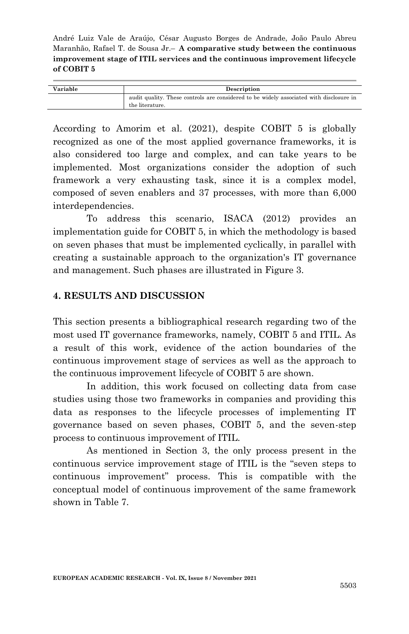| Variable | Description                                                                             |  |
|----------|-----------------------------------------------------------------------------------------|--|
|          | audit quality. These controls are considered to be widely associated with disclosure in |  |
|          | the literature.                                                                         |  |

According to Amorim et al. (2021), despite COBIT 5 is globally recognized as one of the most applied governance frameworks, it is also considered too large and complex, and can take years to be implemented. Most organizations consider the adoption of such framework a very exhausting task, since it is a complex model, composed of seven enablers and 37 processes, with more than 6,000 interdependencies.

To address this scenario, ISACA (2012) provides an implementation guide for COBIT 5, in which the methodology is based on seven phases that must be implemented cyclically, in parallel with creating a sustainable approach to the organization's IT governance and management. Such phases are illustrated in Figure 3.

### **4. RESULTS AND DISCUSSION**

This section presents a bibliographical research regarding two of the most used IT governance frameworks, namely, COBIT 5 and ITIL. As a result of this work, evidence of the action boundaries of the continuous improvement stage of services as well as the approach to the continuous improvement lifecycle of COBIT 5 are shown.

In addition, this work focused on collecting data from case studies using those two frameworks in companies and providing this data as responses to the lifecycle processes of implementing IT governance based on seven phases, COBIT 5, and the seven-step process to continuous improvement of ITIL.

As mentioned in Section 3, the only process present in the continuous service improvement stage of ITIL is the "seven steps to continuous improvement" process. This is compatible with the conceptual model of continuous improvement of the same framework shown in Table 7.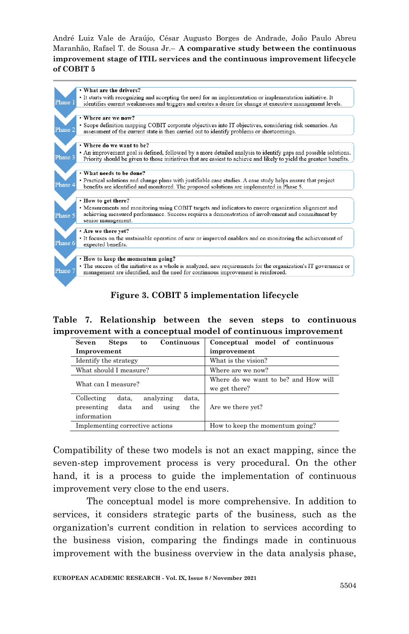

**Figure 3. COBIT 5 implementation lifecycle**

**Table 7. Relationship between the seven steps to continuous improvement with a conceptual model of continuous improvement**

| Continuous<br>Seven<br><b>Steps</b><br>to                                                             | Conceptual model of continuous                        |  |
|-------------------------------------------------------------------------------------------------------|-------------------------------------------------------|--|
| Improvement                                                                                           | improvement                                           |  |
| Identify the strategy                                                                                 | What is the vision?                                   |  |
| What should I measure?                                                                                | Where are we now?                                     |  |
| What can I measure?                                                                                   | Where do we want to be? and How will<br>we get there? |  |
| Collecting<br>analyzing<br>data,<br>data,<br>using<br>the<br>presenting<br>and<br>data<br>information | Are we there yet?                                     |  |
| Implementing corrective actions                                                                       | How to keep the momentum going?                       |  |

Compatibility of these two models is not an exact mapping, since the seven-step improvement process is very procedural. On the other hand, it is a process to guide the implementation of continuous improvement very close to the end users.

The conceptual model is more comprehensive. In addition to services, it considers strategic parts of the business, such as the organization's current condition in relation to services according to the business vision, comparing the findings made in continuous improvement with the business overview in the data analysis phase,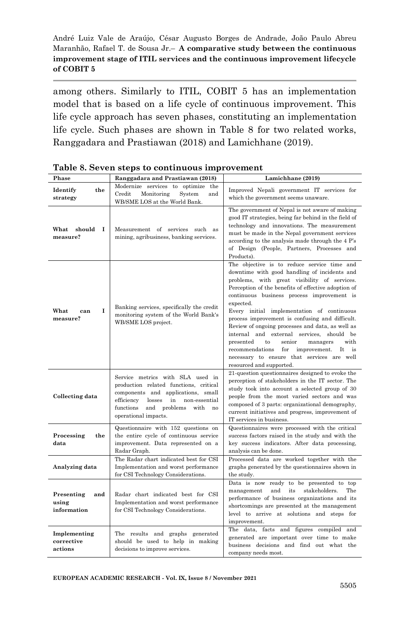among others. Similarly to ITIL, COBIT 5 has an implementation model that is based on a life cycle of continuous improvement. This life cycle approach has seven phases, constituting an implementation life cycle. Such phases are shown in Table 8 for two related works, Ranggadara and Prastiawan (2018) and Lamichhane (2019).

| Phase                                     | Ranggadara and Prastiawan (2018)                                                                                                                                                                                                   | Lamichhane (2019)                                                                                                                                                                                                                                                                                                                                                                                                                                                                                                                                                                                                                                            |  |
|-------------------------------------------|------------------------------------------------------------------------------------------------------------------------------------------------------------------------------------------------------------------------------------|--------------------------------------------------------------------------------------------------------------------------------------------------------------------------------------------------------------------------------------------------------------------------------------------------------------------------------------------------------------------------------------------------------------------------------------------------------------------------------------------------------------------------------------------------------------------------------------------------------------------------------------------------------------|--|
| Identify<br>the<br>strategy               | Modernize services to optimize<br>the<br>Credit<br>Monitoring<br>System<br>and<br>WB/SME LOS at the World Bank.                                                                                                                    | Improved Nepali government IT services for<br>which the government seems unaware.                                                                                                                                                                                                                                                                                                                                                                                                                                                                                                                                                                            |  |
| What<br>should<br>Т<br>measure?           | Measurement of services such as<br>mining, agribusiness, banking services.                                                                                                                                                         | The government of Nepal is not aware of making<br>good IT strategies, being far behind in the field of<br>technology and innovations. The measurement<br>must be made in the Nepal government services<br>according to the analysis made through the 4 P's<br>of Design (People, Partners, Processes and<br>Products).                                                                                                                                                                                                                                                                                                                                       |  |
| What<br>1<br>can<br>measure?              | Banking services, specifically the credit<br>monitoring system of the World Bank's<br>WB/SME LOS project.                                                                                                                          | The objective is to reduce service time and<br>downtime with good handling of incidents and<br>problems, with great visibility of services.<br>Perception of the benefits of effective adoption of<br>continuous business process improvement is<br>expected.<br>Every initial implementation of continuous<br>process improvement is confusing and difficult.<br>Review of ongoing processes and data, as well as<br>internal and external services,<br>should be<br>presented<br>to<br>senior<br>with<br>managers<br>recommendations<br>$_{\rm for}$<br>improvement.<br>It<br>is<br>necessary to ensure that services are well<br>resourced and supported. |  |
| Collecting data                           | Service metrics with SLA used in<br>production related functions, critical<br>components and applications, small<br>losses<br>efficiency<br>in<br>non-essential<br>and problems<br>functions<br>with<br>no<br>operational impacts. | 21-question questionnaires designed to evoke the<br>perception of stakeholders in the IT sector. The<br>study took into account a selected group of 30<br>people from the most varied sectors and was<br>composed of 3 parts: organizational demography,<br>current initiatives and progress, improvement of<br>IT services in business.                                                                                                                                                                                                                                                                                                                     |  |
| Processing<br>the<br>data                 | Questionnaire with 152 questions on<br>the entire cycle of continuous service<br>improvement. Data represented on a<br>Radar Graph.                                                                                                | Questionnaires were processed with the critical<br>success factors raised in the study and with the<br>key success indicators. After data processing,<br>analysis can be done.                                                                                                                                                                                                                                                                                                                                                                                                                                                                               |  |
| Analyzing data                            | The Radar chart indicated best for CSI<br>Implementation and worst performance<br>for CSI Technology Considerations.                                                                                                               | Processed data are worked together with the<br>graphs generated by the questionnaires shown in<br>the study.                                                                                                                                                                                                                                                                                                                                                                                                                                                                                                                                                 |  |
| Presenting<br>and<br>using<br>information | Radar chart indicated best for CSI<br>Implementation and worst performance<br>for CSI Technology Considerations.                                                                                                                   | Data is now ready to be presented to top<br>and<br>stakeholders.<br>The<br>management<br>its<br>performance of business organizations and its<br>shortcomings are presented at the management<br>level to arrive at solutions and steps for<br>improvement.                                                                                                                                                                                                                                                                                                                                                                                                  |  |
| Implementing<br>corrective<br>actions     | The results and graphs generated<br>should be used to help in making<br>decisions to improve services.                                                                                                                             | The data, facts and figures compiled and<br>generated are important over time to make<br>business decisions and find out what the<br>company needs most.                                                                                                                                                                                                                                                                                                                                                                                                                                                                                                     |  |

#### **Table 8. Seven steps to continuous improvement**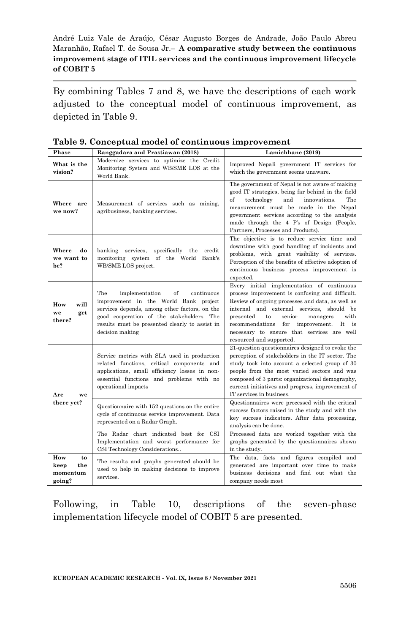By combining Tables 7 and 8, we have the descriptions of each work adjusted to the conceptual model of continuous improvement, as depicted in Table 9.

| Phase                                          | Ranggadara and Prastiawan (2018)                                                                                                                                                                                                                      | Lamichhane (2019)                                                                                                                                                                                                                                                                                                                                                                         |  |
|------------------------------------------------|-------------------------------------------------------------------------------------------------------------------------------------------------------------------------------------------------------------------------------------------------------|-------------------------------------------------------------------------------------------------------------------------------------------------------------------------------------------------------------------------------------------------------------------------------------------------------------------------------------------------------------------------------------------|--|
| What is the<br>vision?                         | Modernize services to optimize the Credit<br>Monitoring System and WB/SME LOS at the<br>World Bank.                                                                                                                                                   | Improved Nepali government IT services for<br>which the government seems unaware.                                                                                                                                                                                                                                                                                                         |  |
| Where are<br>we now?                           | Measurement of services such as mining,<br>agribusiness, banking services.                                                                                                                                                                            | The government of Nepal is not aware of making<br>good IT strategies, being far behind in the field<br>and<br>of<br>technology<br>innovations.<br>The<br>measurement must be made in the Nepal<br>government services according to the analysis<br>made through the 4 P's of Design (People,<br>Partners, Processes and Products).                                                        |  |
| Where<br>do<br>we want to<br>be?               | banking services,<br>specifically the<br>credit<br>monitoring system of the World<br>Bank's<br>WB/SME LOS project.                                                                                                                                    | The objective is to reduce service time and<br>downtime with good handling of incidents and<br>problems, with great visibility of services.<br>Perception of the benefits of effective adoption of<br>continuous business process improvement is<br>expected.                                                                                                                             |  |
| How<br>will<br>we<br>get<br>there?             | The<br>of<br>implementation<br>continuous<br>improvement in the World Bank project<br>services depends, among other factors, on the<br>good cooperation of the stakeholders. The<br>results must be presented clearly to assist in<br>decision making | Every initial implementation of continuous<br>process improvement is confusing and difficult.<br>Review of ongoing processes and data, as well as<br>internal and external services, should be<br>with<br>presented<br>$\mathbf{t}$<br>senior<br>managers<br>recommendations<br>for<br>improvement.<br>It<br>is<br>necessary to ensure that services are well<br>resourced and supported. |  |
| Are<br>we                                      | Service metrics with SLA used in production<br>related functions, critical components and<br>applications, small efficiency losses in non-<br>essential functions and problems with no<br>operational impacts                                         | 21-question questionnaires designed to evoke the<br>perception of stakeholders in the IT sector. The<br>study took into account a selected group of 30<br>people from the most varied sectors and was<br>composed of 3 parts: organizational demography,<br>current initiatives and progress, improvement of<br>IT services in business.                                                  |  |
| there yet?                                     | Questionnaire with 152 questions on the entire<br>cycle of continuous service improvement. Data<br>represented on a Radar Graph.                                                                                                                      | Questionnaires were processed with the critical<br>success factors raised in the study and with the<br>key success indicators. After data processing,<br>analysis can be done.                                                                                                                                                                                                            |  |
|                                                | The Radar chart indicated best for CSI<br>Implementation and worst performance for<br>CSI Technology Considerations                                                                                                                                   | Processed data are worked together with the<br>graphs generated by the questionnaires shown<br>in the study.                                                                                                                                                                                                                                                                              |  |
| How<br>to<br>keep<br>the<br>momentum<br>going? | The results and graphs generated should be<br>used to help in making decisions to improve<br>services.                                                                                                                                                | The data, facts and figures compiled and<br>generated are important over time to make<br>business decisions and find out what the<br>company needs most                                                                                                                                                                                                                                   |  |

| Table 9. Conceptual model of continuous improvement |  |  |  |  |  |
|-----------------------------------------------------|--|--|--|--|--|
|-----------------------------------------------------|--|--|--|--|--|

Following, in Table 10, descriptions of the seven-phase implementation lifecycle model of COBIT 5 are presented.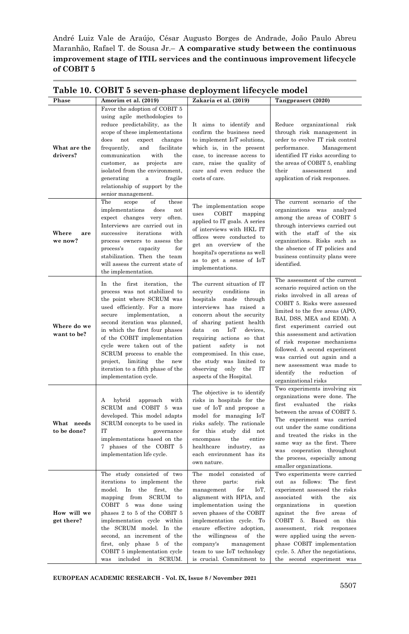| Table 10. COBIT 5 seven-phase deployment lifecycle model |                                                                                                                                                                                                                                                                                                                                                                                                                                 |                                                                                                                                                                                                                                                                                                                                                                                                                          |                                                                                                                                                                                                                                                                                                                                                                                                                                                                 |  |
|----------------------------------------------------------|---------------------------------------------------------------------------------------------------------------------------------------------------------------------------------------------------------------------------------------------------------------------------------------------------------------------------------------------------------------------------------------------------------------------------------|--------------------------------------------------------------------------------------------------------------------------------------------------------------------------------------------------------------------------------------------------------------------------------------------------------------------------------------------------------------------------------------------------------------------------|-----------------------------------------------------------------------------------------------------------------------------------------------------------------------------------------------------------------------------------------------------------------------------------------------------------------------------------------------------------------------------------------------------------------------------------------------------------------|--|
| Phase                                                    | Amorim et al. (2019)                                                                                                                                                                                                                                                                                                                                                                                                            | Zakaria et al. (2019)                                                                                                                                                                                                                                                                                                                                                                                                    | Tangprasert (2020)                                                                                                                                                                                                                                                                                                                                                                                                                                              |  |
| What are the<br>drivers?                                 | Favor the adoption of COBIT 5<br>using agile methodologies to<br>reduce predictability, as the<br>scope of these implementations<br>$_{\rm does}$<br>expect<br>not<br>changes<br>frequently,<br>facilitate<br>and<br>communication<br>with<br>the<br>projects<br>customer,<br>as<br>are<br>isolated from the environment,<br>fragile<br>generating<br>$\mathbf a$<br>relationship of support by the<br>senior management.       | It aims to identify and<br>confirm the business need<br>to implement IoT solutions,<br>which is, in the present<br>case, to increase access to<br>care, raise the quality of<br>care and even reduce the<br>costs of care.                                                                                                                                                                                               | Reduce<br>organizational<br>risk<br>through risk management in<br>order to evolve IT risk control<br>performance.<br>Management<br>identified IT risks according to<br>the areas of COBIT 5, enabling<br>$_{\rm their}$<br>assessment<br>and<br>application of risk responses.                                                                                                                                                                                  |  |
| Where<br>are<br>we now?                                  | The<br>scope<br>οf<br>these<br>implementations<br>does<br>not<br>expect changes very<br>often.<br>Interviews are carried out in<br>successive<br>iterations<br>with<br>process owners to assess the<br>process's<br>capacity<br>for<br>stabilization. Then the team<br>will assess the current state of<br>the implementation.                                                                                                  | The implementation scope<br>COBIT<br>uses<br>mapping<br>applied to IT goals. A series<br>of interviews with HKL IT<br>offices were conducted to<br>get an overview of the<br>hospital's operations as well<br>as to get a sense of IoT<br>implementations.                                                                                                                                                               | The current scenario of the<br>organizations was analyzed<br>among the areas of COBIT 5<br>through interviews carried out<br>with the staff of the six<br>organizations. Risks such as<br>the absence of IT policies and<br>business continuity plans were<br>identified.                                                                                                                                                                                       |  |
| Where do we<br>want to be?                               | In the first iteration, the<br>process was not stabilized to<br>the point where SCRUM was<br>used efficiently. For a more<br>secure<br>implementation,<br>a<br>second iteration was planned,<br>in which the first four phases<br>of the COBIT implementation<br>cycle were taken out of the<br>SCRUM process to enable the<br>project,<br>limiting<br>the<br>new<br>iteration to a fifth phase of the<br>implementation cycle. | The current situation of IT<br>conditions<br>security<br>in<br>hospitals<br>made through<br>interviews has raised a<br>concern about the security<br>of sharing patient health<br>$_{\rm data}$<br>$_{\rm on}$<br>IоT<br>devices,<br>requiring actions so that<br>patient<br>safety<br>not<br>is<br>compromised. In this case,<br>the study was limited to<br>only<br>IT<br>observing<br>the<br>aspects of the Hospital. | The assessment of the current<br>scenario required action on the<br>risks involved in all areas of<br>COBIT 5. Risks were assessed<br>limited to the five areas (APO,<br>BAI, DSS, MEA and EDM). A<br>first experiment carried out<br>this assessment and activation<br>of risk response mechanisms<br>followed. A second experiment<br>was carried out again and a<br>new assessment was made to<br>identify<br>the<br>reduction<br>of<br>organizational risks |  |
| What needs<br>to be done?                                | hybrid<br>approach<br>with<br>А<br>SCRUM and COBIT 5 was<br>developed. This model adapts<br>SCRUM concepts to be used in<br>IT<br>governance<br>implementations based on the<br>7 phases of the COBIT 5<br>implementation life cycle.                                                                                                                                                                                           | The objective is to identify<br>risks in hospitals for the<br>use of IoT and propose a<br>model for managing IoT<br>risks safely. The rationale<br>for this study<br>did not<br>encompass<br>the<br>entire<br>healthcare<br>industry,<br>as<br>each environment has its<br>own nature.                                                                                                                                   | Two experiments involving six<br>organizations were done. The<br>evaluated<br>first<br>the<br>risks<br>between the areas of COBIT 5.<br>The experiment was carried<br>out under the same conditions<br>and treated the risks in the<br>same way as the first. There<br>was cooperation throughout<br>the process, especially among<br>smaller organizations.                                                                                                    |  |
| How will we<br>get there?                                | The study consisted of two<br>iterations to implement the<br>model.<br>the<br>In<br>first.<br>the<br>mapping from SCRUM<br>to<br>COBIT 5 was done using<br>phases 2 to 5 of the COBIT 5<br>implementation cycle within<br>the SCRUM model. In the<br>second, an increment of the<br>first, only phase 5 of the<br>COBIT 5 implementation cycle<br>was included in SCRUM.                                                        | The model consisted of<br>three<br>parts:<br>risk<br>IoT,<br>management<br>for<br>alignment with HPIA, and<br>implementation using the<br>seven phases of the COBIT<br>implementation cycle. To<br>ensure effective adoption,<br>the<br>willingness<br>of<br>the<br>company's<br>management<br>team to use IoT technology<br>is crucial. Commitment to                                                                   | Two experiments were carried<br>out as follows: The first<br>experiment assessed the risks<br>associated<br>with<br>the<br>$\sin x$<br>organizations<br>in<br>question<br>against<br>the five<br>areas<br>of<br>COBIT<br>5. Based<br>on this<br>assessment,<br>risk<br>responses<br>were applied using the seven-<br>phase COBIT implementation<br>cycle. 5. After the negotiations,<br>the second experiment was                                               |  |

**EUROPEAN ACADEMIC RESEARCH - Vol. IX, Issue 8 / November 2021**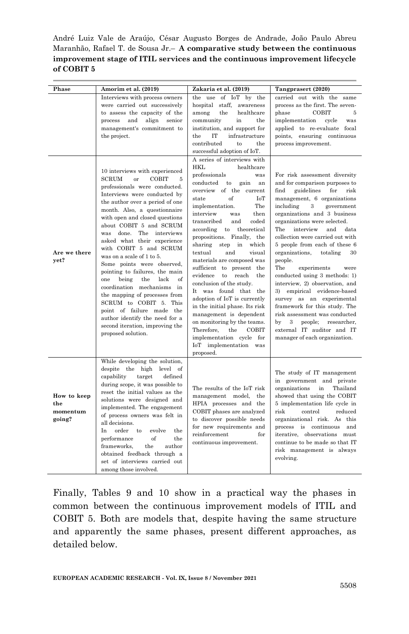| Phase                                    | Amorim et al. (2019)                                                                                                                                                                                                                                                                                                                                                                                                                                                                                                                                                                                                                                                                                    | Zakaria et al. (2019)                                                                                                                                                                                                                                                                                                                                                                                                                                                                                                                                                                                                                                                                                                                                  | Tangprasert (2020)                                                                                                                                                                                                                                                                                                                                                                                                                                                                                                                                                                                                                                                                                                                     |
|------------------------------------------|---------------------------------------------------------------------------------------------------------------------------------------------------------------------------------------------------------------------------------------------------------------------------------------------------------------------------------------------------------------------------------------------------------------------------------------------------------------------------------------------------------------------------------------------------------------------------------------------------------------------------------------------------------------------------------------------------------|--------------------------------------------------------------------------------------------------------------------------------------------------------------------------------------------------------------------------------------------------------------------------------------------------------------------------------------------------------------------------------------------------------------------------------------------------------------------------------------------------------------------------------------------------------------------------------------------------------------------------------------------------------------------------------------------------------------------------------------------------------|----------------------------------------------------------------------------------------------------------------------------------------------------------------------------------------------------------------------------------------------------------------------------------------------------------------------------------------------------------------------------------------------------------------------------------------------------------------------------------------------------------------------------------------------------------------------------------------------------------------------------------------------------------------------------------------------------------------------------------------|
|                                          | Interviews with process owners<br>were carried out successively<br>to assess the capacity of the<br>and<br>align<br>process<br>senior<br>management's commitment to<br>the project.                                                                                                                                                                                                                                                                                                                                                                                                                                                                                                                     | the use of IoT by the<br>hospital staff, awareness<br>the<br>healthcare<br>among<br>community<br>in<br>the<br>institution, and support for<br>the<br>IT<br>infrastructure<br>contributed<br>to<br>the<br>successful adoption of IoT.                                                                                                                                                                                                                                                                                                                                                                                                                                                                                                                   | carried out with the same<br>process as the first. The seven-<br>COBIT<br>phase<br>5<br>implementation<br>cycle<br>was<br>applied to re-evaluate focal<br>points, ensuring continuous<br>process improvement.                                                                                                                                                                                                                                                                                                                                                                                                                                                                                                                          |
| Are we there<br>yet?                     | 10 interviews with experienced<br>SCRUM<br>COBIT<br>or<br>5<br>professionals were conducted.<br>Interviews were conducted by<br>the author over a period of one<br>month. Also, a questionnaire<br>with open and closed questions<br>about COBIT 5 and SCRUM<br>The interviews<br>was done.<br>asked what their experience<br>with COBIT 5 and SCRUM<br>was on a scale of 1 to 5.<br>Some points were observed,<br>pointing to failures, the main<br>lack<br>being<br>the<br>of<br>one<br>coordination mechanisms in<br>the mapping of processes from<br>SCRUM to COBIT 5. This<br>point of failure made the<br>author identify the need for a<br>second iteration, improving the<br>proposed solution. | A series of interviews with<br>HKL<br>healthcare<br>professionals<br>was<br>conducted<br>to<br>gain<br>an<br>overview of the current<br>of<br>IoT<br>state<br>The<br>implementation.<br>then<br>interview<br>was<br>transcribed<br>and<br>coded<br>theoretical<br>according to<br>propositions. Finally, the<br>sharing<br>step<br>in<br>which<br>textual<br>and<br>visual<br>materials are composed was<br>sufficient to present the<br>evidence<br>to reach<br>the<br>conclusion of the study.<br>It was found that the<br>adoption of IoT is currently<br>in the initial phase. Its risk<br>management is dependent<br>on monitoring by the teams.<br>the<br>COBIT<br>Therefore,<br>implementation cycle for<br>IoT implementation was<br>proposed. | For risk assessment diversity<br>and for comparison purposes to<br>find<br>guidelines<br>$_{\rm for}$<br>risk<br>management, 6 organizations<br>including<br>3<br>government<br>organizations and 3 business<br>organizations were selected.<br>The<br>interview<br>and<br>data<br>collection were carried out with<br>5 people from each of these 6<br>organizations,<br>totaling<br>30<br>people.<br>The<br>experiments<br>were<br>conducted using 3 methods: 1)<br>interview, 2) observation, and<br>3) empirical evidence-based<br>survey as an experimental<br>framework for this study. The<br>risk assessment was conducted<br>by<br>3<br>people;<br>researcher,<br>external IT auditor and IT<br>manager of each organization. |
| How to keep<br>the<br>momentum<br>going? | While developing the solution,<br>despite the high level<br>- of<br>capability<br>target<br>defined<br>during scope, it was possible to<br>reset the initial values as the<br>solutions were designed and<br>implemented. The engagement<br>of process owners was felt in<br>all decisions.<br>In<br>order to<br>evolve<br>the<br>of<br>performance<br>the<br>frameworks,<br>the<br>author<br>obtained feedback through a<br>set of interviews carried out<br>among those involved.                                                                                                                                                                                                                     | The results of the IoT risk<br>management model,<br>the<br>HPIA processes and the<br>COBIT phases are analyzed<br>to discover possible needs<br>for new requirements and<br>reinforcement<br>for<br>continuous improvement.                                                                                                                                                                                                                                                                                                                                                                                                                                                                                                                            | The study of IT management<br>in government and private<br>$\operatorname{in}$<br>Thailand<br>organizations<br>showed that using the COBIT<br>5 implementation life cycle in<br>risk<br>control<br>reduced<br>organizational risk. As this<br>process is continuous<br>and<br>iterative, observations must<br>continue to be made so that IT<br>risk management is always<br>evolving.                                                                                                                                                                                                                                                                                                                                                 |

Finally, Tables 9 and 10 show in a practical way the phases in common between the continuous improvement models of ITIL and COBIT 5. Both are models that, despite having the same structure and apparently the same phases, present different approaches, as detailed below.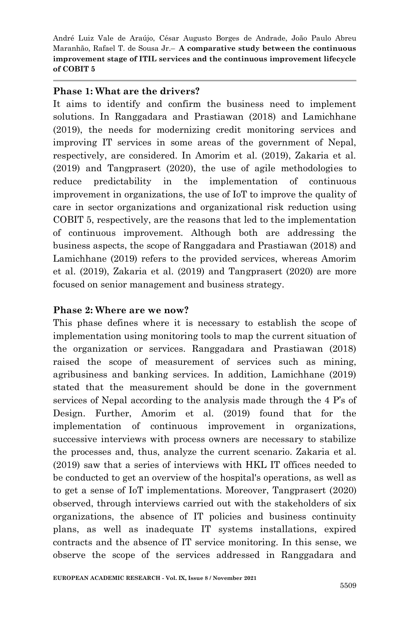#### **Phase 1: What are the drivers?**

It aims to identify and confirm the business need to implement solutions. In Ranggadara and Prastiawan (2018) and Lamichhane (2019), the needs for modernizing credit monitoring services and improving IT services in some areas of the government of Nepal, respectively, are considered. In Amorim et al. (2019), Zakaria et al. (2019) and Tangprasert (2020), the use of agile methodologies to reduce predictability in the implementation of continuous improvement in organizations, the use of IoT to improve the quality of care in sector organizations and organizational risk reduction using COBIT 5, respectively, are the reasons that led to the implementation of continuous improvement. Although both are addressing the business aspects, the scope of Ranggadara and Prastiawan (2018) and Lamichhane (2019) refers to the provided services, whereas Amorim et al. (2019), Zakaria et al. (2019) and Tangprasert (2020) are more focused on senior management and business strategy.

### **Phase 2: Where are we now?**

This phase defines where it is necessary to establish the scope of implementation using monitoring tools to map the current situation of the organization or services. Ranggadara and Prastiawan (2018) raised the scope of measurement of services such as mining, agribusiness and banking services. In addition, Lamichhane (2019) stated that the measurement should be done in the government services of Nepal according to the analysis made through the 4 P's of Design. Further, Amorim et al. (2019) found that for the implementation of continuous improvement in organizations, successive interviews with process owners are necessary to stabilize the processes and, thus, analyze the current scenario. Zakaria et al. (2019) saw that a series of interviews with HKL IT offices needed to be conducted to get an overview of the hospital's operations, as well as to get a sense of IoT implementations. Moreover, Tangprasert (2020) observed, through interviews carried out with the stakeholders of six organizations, the absence of IT policies and business continuity plans, as well as inadequate IT systems installations, expired contracts and the absence of IT service monitoring. In this sense, we observe the scope of the services addressed in Ranggadara and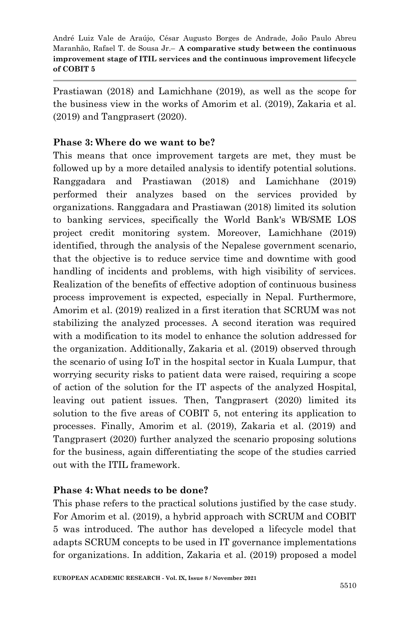Prastiawan (2018) and Lamichhane (2019), as well as the scope for the business view in the works of Amorim et al. (2019), Zakaria et al. (2019) and Tangprasert (2020).

#### **Phase 3: Where do we want to be?**

This means that once improvement targets are met, they must be followed up by a more detailed analysis to identify potential solutions. Ranggadara and Prastiawan (2018) and Lamichhane (2019) performed their analyzes based on the services provided by organizations. Ranggadara and Prastiawan (2018) limited its solution to banking services, specifically the World Bank's WB/SME LOS project credit monitoring system. Moreover, Lamichhane (2019) identified, through the analysis of the Nepalese government scenario, that the objective is to reduce service time and downtime with good handling of incidents and problems, with high visibility of services. Realization of the benefits of effective adoption of continuous business process improvement is expected, especially in Nepal. Furthermore, Amorim et al. (2019) realized in a first iteration that SCRUM was not stabilizing the analyzed processes. A second iteration was required with a modification to its model to enhance the solution addressed for the organization. Additionally, Zakaria et al. (2019) observed through the scenario of using IoT in the hospital sector in Kuala Lumpur, that worrying security risks to patient data were raised, requiring a scope of action of the solution for the IT aspects of the analyzed Hospital, leaving out patient issues. Then, Tangprasert (2020) limited its solution to the five areas of COBIT 5, not entering its application to processes. Finally, Amorim et al. (2019), Zakaria et al. (2019) and Tangprasert (2020) further analyzed the scenario proposing solutions for the business, again differentiating the scope of the studies carried out with the ITIL framework.

#### **Phase 4: What needs to be done?**

This phase refers to the practical solutions justified by the case study. For Amorim et al. (2019), a hybrid approach with SCRUM and COBIT 5 was introduced. The author has developed a lifecycle model that adapts SCRUM concepts to be used in IT governance implementations for organizations. In addition, Zakaria et al. (2019) proposed a model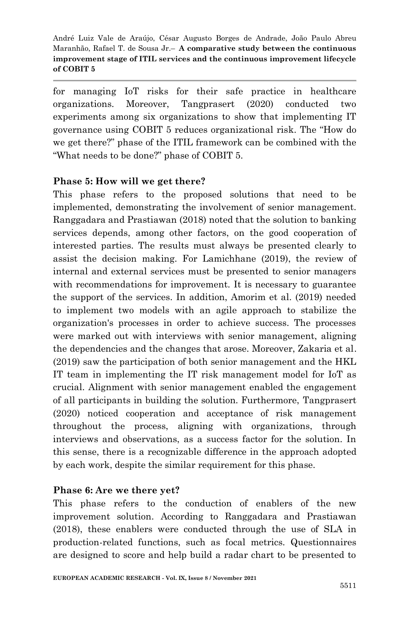for managing IoT risks for their safe practice in healthcare organizations. Moreover, Tangprasert (2020) conducted two experiments among six organizations to show that implementing IT governance using COBIT 5 reduces organizational risk. The "How do we get there?" phase of the ITIL framework can be combined with the "What needs to be done?" phase of COBIT 5.

### **Phase 5: How will we get there?**

This phase refers to the proposed solutions that need to be implemented, demonstrating the involvement of senior management. Ranggadara and Prastiawan (2018) noted that the solution to banking services depends, among other factors, on the good cooperation of interested parties. The results must always be presented clearly to assist the decision making. For Lamichhane (2019), the review of internal and external services must be presented to senior managers with recommendations for improvement. It is necessary to guarantee the support of the services. In addition, Amorim et al. (2019) needed to implement two models with an agile approach to stabilize the organization's processes in order to achieve success. The processes were marked out with interviews with senior management, aligning the dependencies and the changes that arose. Moreover, Zakaria et al. (2019) saw the participation of both senior management and the HKL IT team in implementing the IT risk management model for IoT as crucial. Alignment with senior management enabled the engagement of all participants in building the solution. Furthermore, Tangprasert (2020) noticed cooperation and acceptance of risk management throughout the process, aligning with organizations, through interviews and observations, as a success factor for the solution. In this sense, there is a recognizable difference in the approach adopted by each work, despite the similar requirement for this phase.

## **Phase 6: Are we there yet?**

This phase refers to the conduction of enablers of the new improvement solution. According to Ranggadara and Prastiawan (2018), these enablers were conducted through the use of SLA in production-related functions, such as focal metrics. Questionnaires are designed to score and help build a radar chart to be presented to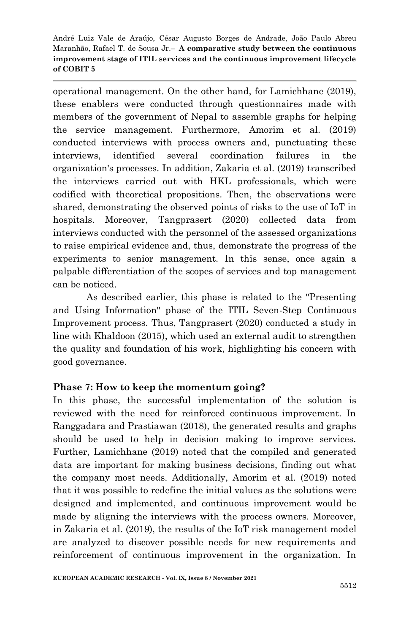operational management. On the other hand, for Lamichhane (2019), these enablers were conducted through questionnaires made with members of the government of Nepal to assemble graphs for helping the service management. Furthermore, Amorim et al. (2019) conducted interviews with process owners and, punctuating these interviews, identified several coordination failures in the organization's processes. In addition, Zakaria et al. (2019) transcribed the interviews carried out with HKL professionals, which were codified with theoretical propositions. Then, the observations were shared, demonstrating the observed points of risks to the use of IoT in hospitals. Moreover, Tangprasert (2020) collected data from interviews conducted with the personnel of the assessed organizations to raise empirical evidence and, thus, demonstrate the progress of the experiments to senior management. In this sense, once again a palpable differentiation of the scopes of services and top management can be noticed.

As described earlier, this phase is related to the "Presenting and Using Information" phase of the ITIL Seven-Step Continuous Improvement process. Thus, Tangprasert (2020) conducted a study in line with Khaldoon (2015), which used an external audit to strengthen the quality and foundation of his work, highlighting his concern with good governance.

### **Phase 7: How to keep the momentum going?**

In this phase, the successful implementation of the solution is reviewed with the need for reinforced continuous improvement. In Ranggadara and Prastiawan (2018), the generated results and graphs should be used to help in decision making to improve services. Further, Lamichhane (2019) noted that the compiled and generated data are important for making business decisions, finding out what the company most needs. Additionally, Amorim et al. (2019) noted that it was possible to redefine the initial values as the solutions were designed and implemented, and continuous improvement would be made by aligning the interviews with the process owners. Moreover, in Zakaria et al. (2019), the results of the IoT risk management model are analyzed to discover possible needs for new requirements and reinforcement of continuous improvement in the organization. In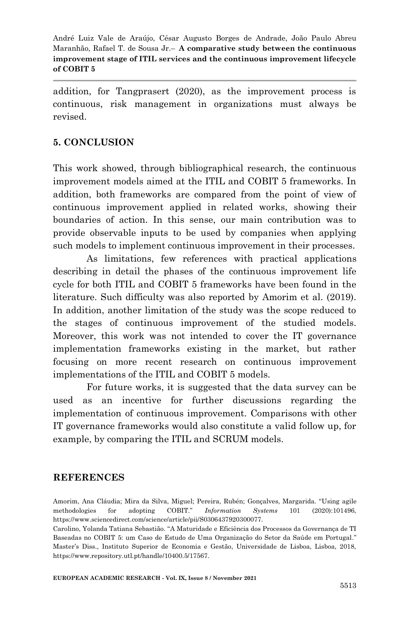addition, for Tangprasert (2020), as the improvement process is continuous, risk management in organizations must always be revised.

### **5. CONCLUSION**

This work showed, through bibliographical research, the continuous improvement models aimed at the ITIL and COBIT 5 frameworks. In addition, both frameworks are compared from the point of view of continuous improvement applied in related works, showing their boundaries of action. In this sense, our main contribution was to provide observable inputs to be used by companies when applying such models to implement continuous improvement in their processes.

As limitations, few references with practical applications describing in detail the phases of the continuous improvement life cycle for both ITIL and COBIT 5 frameworks have been found in the literature. Such difficulty was also reported by Amorim et al. (2019). In addition, another limitation of the study was the scope reduced to the stages of continuous improvement of the studied models. Moreover, this work was not intended to cover the IT governance implementation frameworks existing in the market, but rather focusing on more recent research on continuous improvement implementations of the ITIL and COBIT 5 models.

For future works, it is suggested that the data survey can be used as an incentive for further discussions regarding the implementation of continuous improvement. Comparisons with other IT governance frameworks would also constitute a valid follow up, for example, by comparing the ITIL and SCRUM models.

#### **REFERENCES**

**EUROPEAN ACADEMIC RESEARCH - Vol. IX, Issue 8 / November 2021**

Amorim, Ana Cláudia; Mira da Silva, Miguel; Pereira, Rubén; Gonçalves, Margarida. "Using agile methodologies for adopting COBIT." *Information Systems* 101 (2020):101496, https://www.sciencedirect.com/science/article/pii/S0306437920300077.

Carolino, Yolanda Tatiana Sebastião. "A Maturidade e Eficiência dos Processos da Governança de TI Baseadas no COBIT 5: um Caso de Estudo de Uma Organização do Setor da Saúde em Portugal." Master's Diss., Instituto Superior de Economia e Gestão, Universidade de Lisboa, Lisboa, 2018, https://www.repository.utl.pt/handle/10400.5/17567.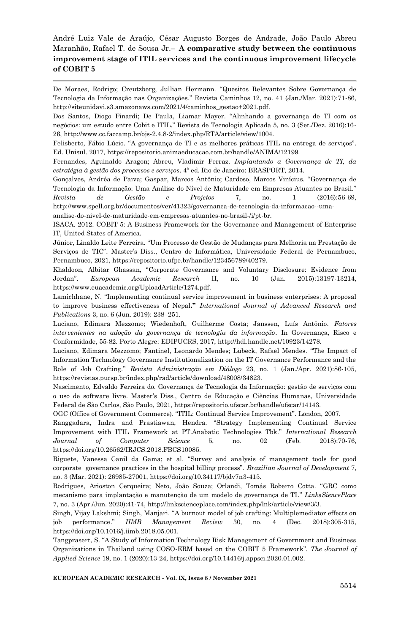De Moraes, Rodrigo; Creutzberg, Jullian Hermann. "Quesitos Relevantes Sobre Governança de Tecnologia da Informação nas Organizações." Revista Caminhos 12, no. 41 (Jan./Mar. 2021):71-86, http://siteunidavi.s3.amazonaws.com/2021/4/caminhos\_gestao+2021.pdf.

Dos Santos, Diogo Finardi; De Paula, Liamar Mayer. "Alinhando a governança de TI com os negócios: um estudo entre Cobit e ITIL." Revista de Tecnologia Aplicada 5, no. 3 (Set./Dez. 2016):16- 26, http://www.cc.faccamp.br/ojs-2.4.8-2/index.php/RTA/article/view/1004.

Felisberto, Fábio Lúcio. "A governança de TI e as melhores práticas ITIL na entrega de serviços". Ed. Unisul. 2017, https://repositorio.animaeducacao.com.br/handle/ANIMA/12199.

Fernandes, Aguinaldo Aragon; Abreu, Vladimir Ferraz. *Implantando a Governança de TI, da estratégia à gestão dos processos e serviços*. 4ª ed. Rio de Janeiro: BRASPORT, 2014.

Gonçalves, Andréa de Paiva; Gaspar, Marcos Antônio; Cardoso, Marcos Vinícius. "Governança de Tecnologia da Informação: Uma Análise do Nível de Maturidade em Empresas Atuantes no Brasil." *Revista de Gestão e Projetos* 7, no. 1 (2016):56-69, http://www.spell.org.br/documentos/ver/41323/governanca-de-tecnologia-da-informacao--uma-

analise-do-nivel-de-maturidade-em-empresas-atuantes-no-brasil-/i/pt-br.

ISACA. 2012. COBIT 5: A Business Framework for the Governance and Management of Enterprise IT, United States of America.

Júnior, Linaldo Leite Ferreira. "Um Processo de Gestão de Mudanças para Melhoria na Prestação de Serviços de TIC". Master's Diss., Centro de Informática, Universidade Federal de Pernambuco, Pernambuco, 2021, https://repositorio.ufpe.br/handle/123456789/40279.

Khaldoon, Albitar Ghassan, "Corporate Governance and Voluntary Disclosure: Evidence from Jordan". *European Academic Research* II, no. 10 (Jan. 2015):13197-13214, https://www.euacademic.org/UploadArticle/1274.pdf.

Lamichhane, N. "Implementing continual service improvement in business enterprises: A proposal to improve business effectiveness of Nepal**."** *International Journal of Advanced Research and Publications* 3, no. 6 (Jun. 2019): 238–251.

Luciano, Edimara Mezzomo; Wiedenhoft, Guilherme Costa; Janssen, Luís Antônio. *Fatores intervenientes na adoção da governança de tecnologia da informação*. In Governança, Risco e Conformidade, 55-82. Porto Alegre: EDIPUCRS, 2017, http://hdl.handle.net/10923/14278.

Luciano, Edimara Mezzomo; Fantinel, Leonardo Mendes; Lübeck, Rafael Mendes. "The Impact of Information Technology Governance Institutionalization on the IT Governance Performance and the Role of Job Crafting." *Revista Administração em Diálogo* 23, no. 1 (Jan./Apr. 2021):86-105, https://revistas.pucsp.br/index.php/rad/article/download/48008/34823.

Nascimento, Edvaldo Ferreira do. Governança de Tecnologia da Informação: gestão de serviços com o uso de software livre. Master's Diss., Centro de Educação e Ciências Humanas, Universidade Federal de São Carlos, São Paulo, 2021, https://repositorio.ufscar.br/handle/ufscar/14143.

OGC (Office of Government Commerce). "ITIL: Continual Service Improvement". London, 2007.

Ranggadara, Indra and Prastiawan, Hendra. "Strategy Implementing Continual Service Improvement with ITIL Framework at PT.Anabatic Technologies Tbk." *International Research Journal of Computer Science* 5, no. 02 (Feb. 2018):70-76, https://doi.org/10.26562/IRJCS.2018.FBCS10085.

Riguete, Vanessa Canil da Gama; et al. "Survey and analysis of management tools for good corporate governance practices in the hospital billing process". *Brazilian Journal of Development* 7, no. 3 (Mar. 2021): 26985-27001, https://doi.org/10.34117/bjdv7n3-415.

Rodrigues, Arioston Cerqueira; Neto, João Souza; Orlandi, Tomás Roberto Cotta. "GRC como mecanismo para implantação e manutenção de um modelo de governança de TI." *LinksSiencePlace* 7, no. 3 (Apr./Jun. 2020):41-74, http://linkscienceplace.com/index.php/lnk/article/view/3/3.

Singh, Vijay Lakshmi; Singh, Manjari. "A burnout model of job crafting: Multiplemediator effects on job performance." *IIMB Management Review* 30, no. 4 (Dec. 2018):305-315, https://doi.org/10.1016/j.iimb.2018.05.001.

Tangprasert, S. "A Study of Information Technology Risk Management of Government and Business Organizations in Thailand using COSO-ERM based on the COBIT 5 Framework". *The Journal of Applied Science* 19, no. 1 (2020):13-24, https://doi.org/10.14416/j.appsci.2020.01.002.

**EUROPEAN ACADEMIC RESEARCH - Vol. IX, Issue 8 / November 2021**